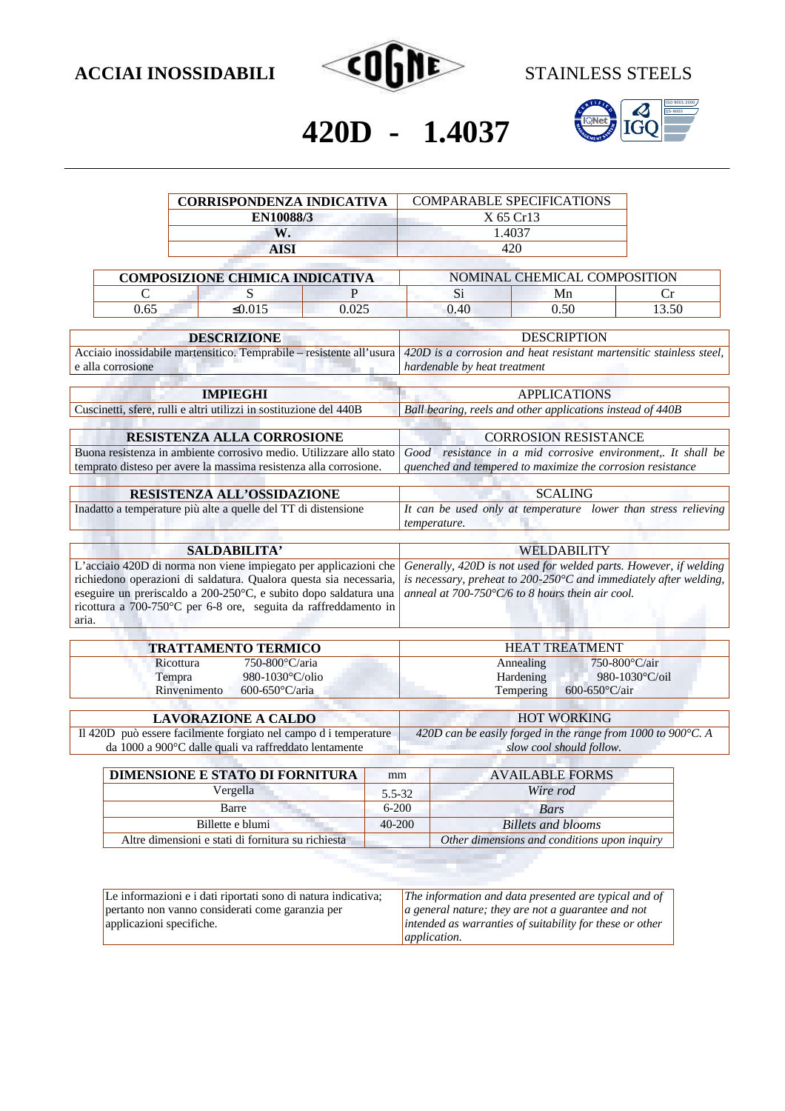



# **420D - 1.4037**

|                                                                                                                                                                                                                                                                                        | <b>CORRISPONDENZA INDICATIVA</b><br>EN10088/3<br>W.                                                                       |                                                                                | <b>COMPARABLE SPECIFICATIONS</b><br>X 65 Cr13<br>1.4037                                                                                                                                                        |                                                                                                     |                                 |
|----------------------------------------------------------------------------------------------------------------------------------------------------------------------------------------------------------------------------------------------------------------------------------------|---------------------------------------------------------------------------------------------------------------------------|--------------------------------------------------------------------------------|----------------------------------------------------------------------------------------------------------------------------------------------------------------------------------------------------------------|-----------------------------------------------------------------------------------------------------|---------------------------------|
|                                                                                                                                                                                                                                                                                        |                                                                                                                           |                                                                                |                                                                                                                                                                                                                |                                                                                                     |                                 |
|                                                                                                                                                                                                                                                                                        |                                                                                                                           |                                                                                |                                                                                                                                                                                                                |                                                                                                     |                                 |
|                                                                                                                                                                                                                                                                                        | <b>AISI</b>                                                                                                               | 420                                                                            |                                                                                                                                                                                                                |                                                                                                     |                                 |
| <b>COMPOSIZIONE CHIMICA INDICATIVA</b>                                                                                                                                                                                                                                                 |                                                                                                                           | NOMINAL CHEMICAL COMPOSITION                                                   |                                                                                                                                                                                                                |                                                                                                     |                                 |
| $\mathcal{C}$                                                                                                                                                                                                                                                                          | S                                                                                                                         | P                                                                              | Si                                                                                                                                                                                                             | Mn                                                                                                  | Cr                              |
| 0.65                                                                                                                                                                                                                                                                                   | $\leq 0.015$                                                                                                              | 0.025                                                                          | 0.40                                                                                                                                                                                                           | 0.50                                                                                                | 13.50                           |
|                                                                                                                                                                                                                                                                                        |                                                                                                                           |                                                                                |                                                                                                                                                                                                                |                                                                                                     |                                 |
|                                                                                                                                                                                                                                                                                        | <b>DESCRIZIONE</b>                                                                                                        |                                                                                | <b>DESCRIPTION</b>                                                                                                                                                                                             |                                                                                                     |                                 |
| Acciaio inossidabile martensitico. Temprabile - resistente all'usura<br>e alla corrosione                                                                                                                                                                                              |                                                                                                                           |                                                                                | 420D is a corrosion and heat resistant martensitic stainless steel,<br>hardenable by heat treatment                                                                                                            |                                                                                                     |                                 |
|                                                                                                                                                                                                                                                                                        | <b>IMPIEGHI</b>                                                                                                           |                                                                                | <b>APPLICATIONS</b>                                                                                                                                                                                            |                                                                                                     |                                 |
|                                                                                                                                                                                                                                                                                        | Cuscinetti, sfere, rulli e altri utilizzi in sostituzione del 440B                                                        |                                                                                | Ball bearing, reels and other applications instead of 440B                                                                                                                                                     |                                                                                                     |                                 |
|                                                                                                                                                                                                                                                                                        |                                                                                                                           |                                                                                |                                                                                                                                                                                                                |                                                                                                     |                                 |
|                                                                                                                                                                                                                                                                                        | <b>RESISTENZA ALLA CORROSIONE</b><br>Buona resistenza in ambiente corrosivo medio. Utilizzare allo stato                  |                                                                                | <b>CORROSION RESISTANCE</b><br>Good resistance in a mid corrosive environment,. It shall be                                                                                                                    |                                                                                                     |                                 |
|                                                                                                                                                                                                                                                                                        | temprato disteso per avere la massima resistenza alla corrosione.                                                         |                                                                                |                                                                                                                                                                                                                | quenched and tempered to maximize the corrosion resistance                                          |                                 |
|                                                                                                                                                                                                                                                                                        | RESISTENZA ALL'OSSIDAZIONE                                                                                                |                                                                                | <b>SCALING</b>                                                                                                                                                                                                 |                                                                                                     |                                 |
| Inadatto a temperature più alte a quelle del TT di distensione                                                                                                                                                                                                                         |                                                                                                                           | It can be used only at temperature lower than stress relieving<br>temperature. |                                                                                                                                                                                                                |                                                                                                     |                                 |
|                                                                                                                                                                                                                                                                                        | SALDABILITA'                                                                                                              |                                                                                | WELDABILITY                                                                                                                                                                                                    |                                                                                                     |                                 |
| L'acciaio 420D di norma non viene impiegato per applicazioni che<br>richiedono operazioni di saldatura. Qualora questa sia necessaria,<br>eseguire un preriscaldo a 200-250°C, e subito dopo saldatura una<br>ricottura a 700-750°C per 6-8 ore, seguita da raffreddamento in<br>aria. |                                                                                                                           |                                                                                | Generally, 420D is not used for welded parts. However, if welding<br>is necessary, preheat to $200-250^{\circ}$ C and immediately after welding,<br>anneal at 700-750 $\degree$ C/6 to 8 hours thein air cool. |                                                                                                     |                                 |
|                                                                                                                                                                                                                                                                                        | <b>TRATTAMENTO TERMICO</b>                                                                                                |                                                                                | <b>HEAT TREATMENT</b>                                                                                                                                                                                          |                                                                                                     |                                 |
|                                                                                                                                                                                                                                                                                        | $750-800^{\circ}$ C/aria<br>Ricottura<br>980-1030°C/olio<br>Tempra<br>Rinvenimento<br>600-650 $°C/aria$                   |                                                                                |                                                                                                                                                                                                                | Annealing<br>Hardening<br>Tempering<br>600-650°C/air                                                | 750-800°C/air<br>980-1030°C/oil |
|                                                                                                                                                                                                                                                                                        | <b>LAVORAZIONE A CALDO</b>                                                                                                |                                                                                |                                                                                                                                                                                                                | <b>HOT WORKING</b>                                                                                  |                                 |
|                                                                                                                                                                                                                                                                                        | Il 420D può essere facilmente forgiato nel campo d i temperature<br>da 1000 a 900°C dalle quali va raffreddato lentamente |                                                                                |                                                                                                                                                                                                                | 420D can be easily forged in the range from 1000 to 900 $^{\circ}$ C. A<br>slow cool should follow. |                                 |
|                                                                                                                                                                                                                                                                                        | DIMENSIONE E STATO DI FORNITURA                                                                                           | mm                                                                             |                                                                                                                                                                                                                | <b>AVAILABLE FORMS</b>                                                                              |                                 |

| DIMENSIONE E STATO DI FORNITORA                    | ------     | AVAILABLE FUKMS                              |
|----------------------------------------------------|------------|----------------------------------------------|
| Vergella                                           | 5.5-32     | Wire rod                                     |
| <b>Barre</b>                                       | $6 - 200$  | Bars                                         |
| Billette e blumi                                   | $40 - 200$ | Billets and blooms                           |
| Altre dimensioni e stati di fornitura su richiesta |            | Other dimensions and conditions upon inquiry |

| Le informazioni e i dati riportati sono di natura indicativa; | The information and data presented are typical and of    |
|---------------------------------------------------------------|----------------------------------------------------------|
| pertanto non vanno considerati come garanzia per              | a general nature; they are not a guarantee and not       |
| applicazioni specifiche.                                      | intended as warranties of suitability for these or other |
|                                                               | <i>application.</i>                                      |